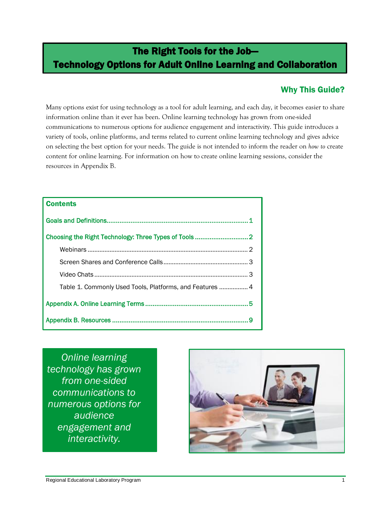# The Right Tools for the Job— Technology Options for Adult Online Learning and Collaboration

## Why This Guide?

Many options exist for using technology as a tool for adult learning, and each day, it becomes easier to share information online than it ever has been. Online learning technology has grown from one-sided communications to numerous options for audience engagement and interactivity. This guide introduces a variety of tools, online platforms, and terms related to current online learning technology and gives advice on selecting the best option for your needs. The guide is not intended to inform the reader on *how to* create content for online learning. For information on how to create online learning sessions, consider the resources in Appendix B.

| <b>Contents</b>                                          |
|----------------------------------------------------------|
|                                                          |
|                                                          |
|                                                          |
|                                                          |
|                                                          |
| Table 1. Commonly Used Tools, Platforms, and Features  4 |
|                                                          |
|                                                          |

<span id="page-0-0"></span>*Online learning technology has grown from one-sided communications to numerous options for audience engagement and interactivity.*

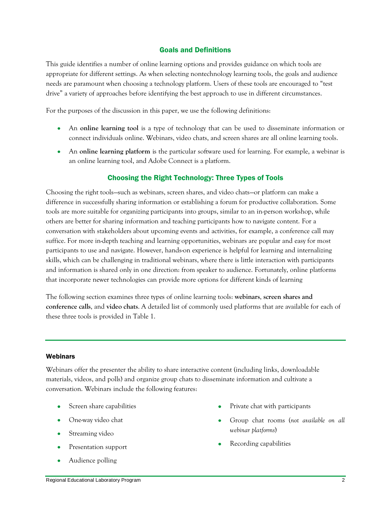#### Goals and Definitions

This guide identifies a number of online learning options and provides guidance on which tools are appropriate for different settings. As when selecting nontechnology learning tools, the goals and audience needs are paramount when choosing a technology platform. Users of these tools are encouraged to "test" drive" a variety of approaches before identifying the best approach to use in different circumstances.

For the purposes of the discussion in this paper, we use the following definitions:

- An **online learning tool** is a type of technology that can be used to disseminate information or connect individuals online. Webinars, video chats, and screen shares are all online learning tools.
- An **online learning platform** is the particular software used for learning. For example, a webinar is an online learning tool, and Adobe Connect is a platform.

### Choosing the Right Technology: Three Types of Tools

<span id="page-1-0"></span>Choosing the right tools—such as webinars, screen shares, and video chats—or platform can make a difference in successfully sharing information or establishing a forum for productive collaboration. Some tools are more suitable for organizing participants into groups, similar to an in-person workshop, while others are better for sharing information and teaching participants how to navigate content. For a conversation with stakeholders about upcoming events and activities, for example, a conference call may suffice. For more in-depth teaching and learning opportunities, webinars are popular and easy for most participants to use and navigate. However, hands-on experience is helpful for learning and internalizing skills, which can be challenging in traditional webinars, where there is little interaction with participants and information is shared only in one direction: from speaker to audience. Fortunately, online platforms that incorporate newer technologies can provide more options for different kinds of learning

The following section examines three types of online learning tools: **webinars**, **screen shares and conference calls**, and **video chats**. A detailed list of commonly used platforms that are available for each of these three tools is provided in Table 1.

#### <span id="page-1-1"></span>Webinars

Webinars offer the presenter the ability to share interactive content (including links, downloadable materials, videos, and polls) and organize group chats to disseminate information and cultivate a conversation. Webinars include the following features:

- Screen share capabilities
- One-way video chat
- Streaming video
- Presentation support
- Audience polling
- Private chat with participants
- Group chat rooms (*not available on all webinar platforms*)
- Recording capabilities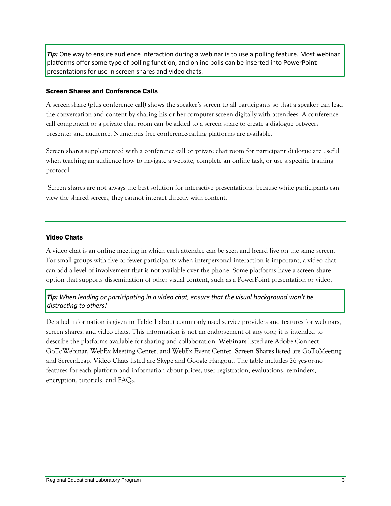*Tip:* One way to ensure audience interaction during a webinar is to use a polling feature. Most webinar platforms offer some type of polling function, and online polls can be inserted into PowerPoint presentations for use in screen shares and video chats.

#### <span id="page-2-0"></span>Screen Shares and Conference Calls

A screen share (plus conference call) shows the speaker's screen to all participants so that a speaker can lead the conversation and content by sharing his or her computer screen digitally with attendees. A conference call component or a private chat room can be added to a screen share to create a dialogue between presenter and audience. Numerous free conference-calling platforms are available.

Screen shares supplemented with a conference call or private chat room for participant dialogue are useful when teaching an audience how to navigate a website, complete an online task, or use a specific training protocol.

Screen shares are not always the best solution for interactive presentations, because while participants can view the shared screen, they cannot interact directly with content.

#### <span id="page-2-1"></span>Video Chats

A video chat is an online meeting in which each attendee can be seen and heard live on the same screen. For small groups with five or fewer participants when interpersonal interaction is important, a video chat can add a level of involvement that is not available over the phone. Some platforms have a screen share option that supports dissemination of other visual content, such as a PowerPoint presentation or video.

*Tip: When leading or participating in a video chat, ensure that the visual background won't be distracting to others!*

<span id="page-2-2"></span>Detailed information is given in Table 1 about commonly used service providers and features for webinars, screen shares, and video chats. This information is not an endorsement of any tool; it is intended to describe the platforms available for sharing and collaboration. **Webinars** listed are Adobe Connect, GoToWebinar, WebEx Meeting Center, and WebEx Event Center. **Screen Shares** listed are GoToMeeting and ScreenLeap. **Video Chats** listed are Skype and Google Hangout. The table includes 26 yes-or-no features for each platform and information about prices, user registration, evaluations, reminders, encryption, tutorials, and FAQs.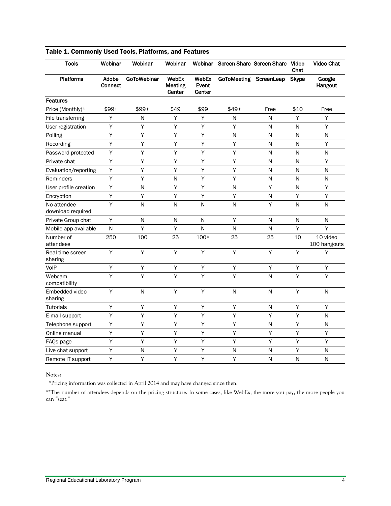| <b>Tools</b>                     | Webinar                 | Webinar            | Webinar                    |                          | Webinar Screen Share Screen Share Video |              | Chat         | <b>Video Chat</b>        |
|----------------------------------|-------------------------|--------------------|----------------------------|--------------------------|-----------------------------------------|--------------|--------------|--------------------------|
| <b>Platforms</b>                 | Adobe<br><b>Connect</b> | <b>GoToWebinar</b> | WebEx<br>Meeting<br>Center | WebEx<br>Event<br>Center | GoToMeeting ScreenLeap                  |              | <b>Skype</b> | Google<br>Hangout        |
| <b>Features</b>                  |                         |                    |                            |                          |                                         |              |              |                          |
| Price (Monthly)*                 | $$99+$                  | $$99+$             | \$49                       | \$99                     | $$49+$                                  | Free         | \$10         | Free                     |
| File transferring                | Υ                       | ${\sf N}$          | Υ                          | Υ                        | N                                       | N            | Υ            | Υ                        |
| User registration                | Υ                       | Υ                  | Υ                          | Υ                        | Υ                                       | N            | N            | Υ                        |
| Polling                          | Υ                       | Y                  | Y                          | Y                        | N                                       | N            | N            | ${\sf N}$                |
| Recording                        | Υ                       | Υ                  | Υ                          | Υ                        | Y                                       | Ν            | Ν            | Υ                        |
| Password protected               | Υ                       | Υ                  | Υ                          | Υ                        | Υ                                       | N            | N            | N                        |
| Private chat                     | Υ                       | Υ                  | Υ                          | Υ                        | Υ                                       | N            | N            | Υ                        |
| Evaluation/reporting             | Υ                       | Y                  | Υ                          | Y                        | Y                                       | N            | N            | N                        |
| Reminders                        | Υ                       | Y                  | N                          | Y                        | Y                                       | N            | N            | N                        |
| User profile creation            | Υ                       | ${\sf N}$          | Υ                          | Υ                        | N                                       | Υ            | N            | Υ                        |
| Encryption                       | Υ                       | Υ                  | Υ                          | Υ                        | Y                                       | $\mathsf{N}$ | Υ            | Υ                        |
| No attendee<br>download required | Y                       | N                  | $\mathsf{N}$               | N                        | N                                       | Υ            | N            | ${\sf N}$                |
| Private Group chat               | Υ                       | N                  | N                          | N                        | Y                                       | N            | N            | N                        |
| Mobile app available             | N                       | Y                  | Y                          | N                        | N                                       | N            | Y            | Y                        |
| Number of<br>attendees           | 250                     | 100                | 25                         | $100*$                   | 25                                      | 25           | 10           | 10 video<br>100 hangouts |
| Real-time screen<br>sharing      | Y                       | Y                  | Y                          | Y                        | Y                                       | Υ            | Y            | Υ                        |
| VoIP                             | Υ                       | Υ                  | Υ                          | Υ                        | Y                                       | Υ            | Y            | Υ                        |
| Webcam<br>compatibility          | Υ                       | Υ                  | Υ                          | Υ                        | Y                                       | N            | Y            | Υ                        |
| Embedded video<br>sharing        | Υ                       | ${\sf N}$          | Υ                          | Υ                        | N                                       | $\mathsf{N}$ | Υ            | N                        |
| <b>Tutorials</b>                 | Υ                       | Υ                  | Υ                          | Υ                        | Y                                       | $\mathsf{N}$ | Υ            | Υ                        |
| E-mail support                   | Υ                       | Υ                  | Υ                          | Υ                        | Y                                       | Υ            | Υ            | N                        |
| Telephone support                | Υ                       | Υ                  | Υ                          | Υ                        | Υ                                       | N            | Υ            | N                        |
| Online manual                    | Υ                       | Υ                  | Υ                          | Υ                        | Υ                                       | Υ            | Υ            | Υ                        |
| FAQs page                        | Υ                       | Y                  | Υ                          | Y                        | Y                                       | Y            | Y            | Y                        |
| Live chat support                | Υ                       | ${\sf N}$          | Υ                          | Υ                        | N                                       | N            | Υ            | $\mathsf{N}$             |
| Remote IT support                | Υ                       | Υ                  | Υ                          | Υ                        | Υ                                       | N            | N            | N                        |

#### Table 1. Commonly Used Tools, Platforms, and Features

#### **Notes:**

\*Pricing information was collected in April 2014 and may have changed since then.

\*\*The number of attendees depends on the pricing structure. In some cases, like WebEx, the more you pay, the more people you can "seat."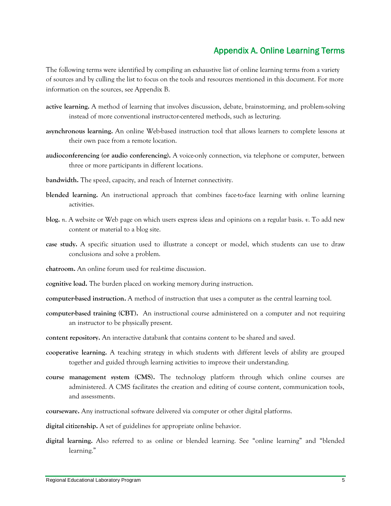### Appendix A. Online Learning Terms

<span id="page-4-0"></span>The following terms were identified by compiling an exhaustive list of online learning terms from a variety of sources and by culling the list to focus on the tools and resources mentioned in this document. For more information on the sources, see Appendix B.

- **active learning.** A method of learning that involves discussion, debate, brainstorming, and problem-solving instead of more conventional instructor-centered methods, such as lecturing.
- **asynchronous learning.** An online Web-based instruction tool that allows learners to complete lessons at their own pace from a remote location.
- **audioconferencing (or audio conferencing).** A voice-only connection, via telephone or computer, between three or more participants in different locations.
- **bandwidth.** The speed, capacity, and reach of Internet connectivity.
- **blended learning.** An instructional approach that combines face-to-face learning with online learning activities.
- **blog.** *n*. A website or Web page on which users express ideas and opinions on a regular basis. *v*. To add new content or material to a blog site.
- **case study.** A specific situation used to illustrate a concept or model, which students can use to draw conclusions and solve a problem.
- **chatroom.** An online forum used for real-time discussion.
- **cognitive load.** The burden placed on working memory during instruction.
- **computer-based instruction.** A method of instruction that uses a computer as the central learning tool.
- **computer-based training (CBT).** An instructional course administered on a computer and not requiring an instructor to be physically present.
- **content repository.** An interactive databank that contains content to be shared and saved.
- **cooperative learning.** A teaching strategy in which students with different levels of ability are grouped together and guided through learning activities to improve their understanding.
- **course management system (CMS).** The technology platform through which online courses are administered. A CMS facilitates the creation and editing of course content, communication tools, and assessments.
- **courseware.** Any instructional software delivered via computer or other digital platforms.
- **digital citizenship.** A set of guidelines for appropriate online behavior.
- digital learning. Also referred to as online or blended learning. See "online learning" and "blended learning."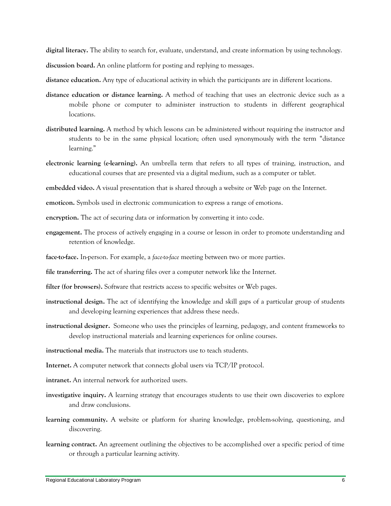**digital literacy.** The ability to search for, evaluate, understand, and create information by using technology.

**discussion board.** An online platform for posting and replying to messages.

**distance education.** Any type of educational activity in which the participants are in different locations.

- **distance education or distance learning.** A method of teaching that uses an electronic device such as a mobile phone or computer to administer instruction to students in different geographical locations.
- **distributed learning.** A method by which lessons can be administered without requiring the instructor and students to be in the same physical location; often used synonymously with the term "distance learning."
- **electronic learning (e-learning).** An umbrella term that refers to all types of training, instruction, and educational courses that are presented via a digital medium, such as a computer or tablet.

**embedded video.** A visual presentation that is shared through a website or Web page on the Internet.

**emoticon.** Symbols used in electronic communication to express a range of emotions.

**encryption.** The act of securing data or information by converting it into code.

- **engagement.** The process of actively engaging in a course or lesson in order to promote understanding and retention of knowledge.
- **face-to-face.** In-person. For example, a *face-to-face* meeting between two or more parties.

**file transferring.** The act of sharing files over a computer network like the Internet.

**filter (for browsers).** Software that restricts access to specific websites or Web pages.

- **instructional design.** The act of identifying the knowledge and skill gaps of a particular group of students and developing learning experiences that address these needs.
- **instructional designer.** Someone who uses the principles of learning, pedagogy, and content frameworks to develop instructional materials and learning experiences for online courses.

**instructional media.** The materials that instructors use to teach students.

**Internet.** A computer network that connects global users via TCP/IP protocol.

- **intranet.** An internal network for authorized users.
- **investigative inquiry.** A learning strategy that encourages students to use their own discoveries to explore and draw conclusions.
- **learning community.** A website or platform for sharing knowledge, problem-solving, questioning, and discovering.
- **learning contract.** An agreement outlining the objectives to be accomplished over a specific period of time or through a particular learning activity.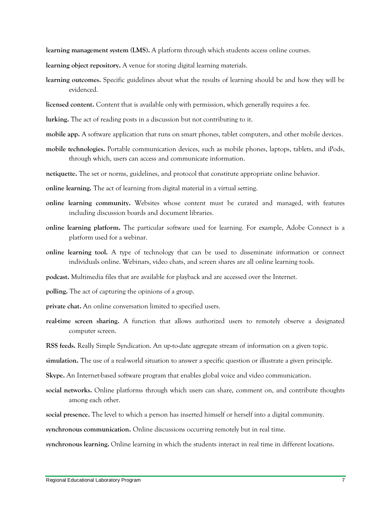**learning management system (LMS).** A platform through which students access online courses.

- **learning object repository.** A venue for storing digital learning materials.
- **learning outcomes.** Specific guidelines about what the results of learning should be and how they will be evidenced.
- **licensed content.** Content that is available only with permission, which generally requires a fee.
- **lurking.** The act of reading posts in a discussion but not contributing to it.
- **mobile app.** A software application that runs on smart phones, tablet computers, and other mobile devices.
- **mobile technologies.** Portable communication devices, such as mobile phones, laptops, tablets, and iPods, through which, users can access and communicate information.
- **netiquette.** The set or norms, guidelines, and protocol that constitute appropriate online behavior.
- **online learning.** The act of learning from digital material in a virtual setting.
- **online learning community.** Websites whose content must be curated and managed, with features including discussion boards and document libraries.
- **online learning platform.** The particular software used for learning. For example, Adobe Connect is a platform used for a webinar.
- **online learning tool.** A type of technology that can be used to disseminate information or connect individuals online. Webinars, video chats, and screen shares are all online learning tools.
- **podcast.** Multimedia files that are available for playback and are accessed over the Internet.
- **polling.** The act of capturing the opinions of a group.
- **private chat.** An online conversation limited to specified users.
- **real-time screen sharing.** A function that allows authorized users to remotely observe a designated computer screen.
- **RSS feeds.** Really Simple Syndication. An up-to-date aggregate stream of information on a given topic.
- **simulation.** The use of a real-world situation to answer a specific question or illustrate a given principle.
- **Skype.** An Internet-based software program that enables global voice and video communication.
- **social networks.** Online platforms through which users can share, comment on, and contribute thoughts among each other.
- **social presence.** The level to which a person has inserted himself or herself into a digital community.

**synchronous communication.** Online discussions occurring remotely but in real time.

**synchronous learning.** Online learning in which the students interact in real time in different locations.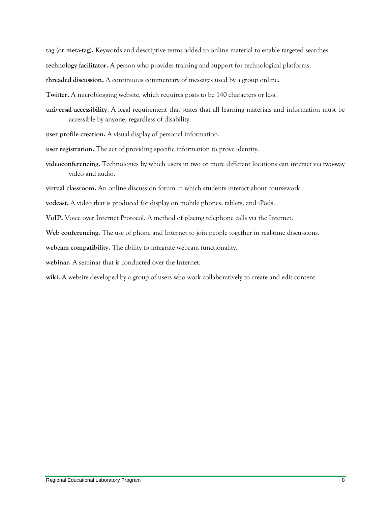**tag (or meta-tag).** Keywords and descriptive terms added to online material to enable targeted searches.

**technology facilitator.** A person who provides training and support for technological platforms.

**threaded discussion.** A continuous commentary of messages used by a group online.

**Twitter.** A microblogging website, which requires posts to be 140 characters or less.

**universal accessibility.** A legal requirement that states that all learning materials and information must be accessible by anyone, regardless of disability.

**user profile creation.** A visual display of personal information.

**user registration.** The act of providing specific information to prove identity.

**videoconferencing.** Technologies by which users in two or more different locations can interact via two-way video and audio.

**virtual classroom.** An online discussion forum in which students interact about coursework.

**vodcast.** A video that is produced for display on mobile phones, tablets, and iPods.

**VoIP.** Voice over Internet Protocol. A method of placing telephone calls via the Internet.

**Web conferencing.** The use of phone and Internet to join people together in real-time discussions.

**webcam compatibility.** The ability to integrate webcam functionality.

**webinar.** A seminar that is conducted over the Internet.

wiki. A website developed by a group of users who work collaboratively to create and edit content.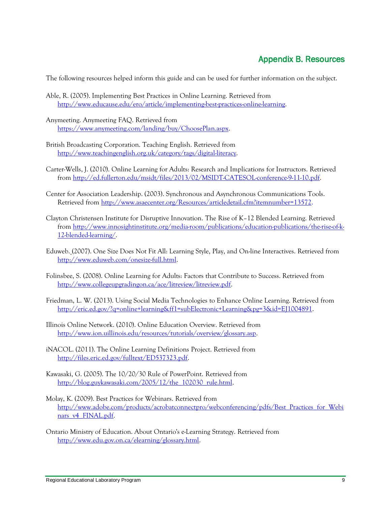## Appendix B. Resources

<span id="page-8-0"></span>The following resources helped inform this guide and can be used for further information on the subject.

- Able, R. (2005). Implementing Best Practices in Online Learning. Retrieved from [http://www.educause.edu/ero/article/implementing-best-practices-online-learning.](http://www.educause.edu/ero/article/implementing-best-practices-online-learning)
- Anymeeting. Anymeeting FAQ. Retrieved from [https://www.anymeeting.com/landing/buy/ChoosePlan.aspx.](https://www.anymeeting.com/landing/buy/ChoosePlan.aspx)
- British Broadcasting Corporation. Teaching English. Retrieved from [http://www.teachingenglish.org.uk/category/tags/digital-literacy.](http://www.teachingenglish.org.uk/category/tags/digital-literacy)
- Carter-Wells, J. (2010). Online Learning for Adults: Research and Implications for Instructors. Retrieved from [http://ed.fullerton.edu/msidt/files/2013/02/MSIDT-CATESOL-conference-9-11-10.pdf.](http://ed.fullerton.edu/msidt/files/2013/02/MSIDT-CATESOL-conference-9-11-10.pdf)
- Center for Association Leadership. (2003). Synchronous and Asynchronous Communications Tools. Retrieved from [http://www.asaecenter.org/Resources/articledetail.cfm?itemnumber=13572.](http://www.asaecenter.org/Resources/articledetail.cfm?itemnumber=13572)
- Clayton Christensen Institute for Disruptive Innovation. The Rise of K–12 Blended Learning. Retrieved from [http://www.innosightinstitute.org/media-room/publications/education-publications/the-rise-of-k-](http://www.innosightinstitute.org/media-room/publications/education-publications/the-rise-of-k-12-blended-learning/)[12-blended-learning/.](http://www.innosightinstitute.org/media-room/publications/education-publications/the-rise-of-k-12-blended-learning/)
- Eduweb. (2007). One Size Does Not Fit All: Learning Style, Play, and On-line Interactives. Retrieved from [http://www.eduweb.com/onesize-full.html.](http://www.eduweb.com/onesize-full.html)
- Folinsbee, S. (2008). Online Learning for Adults: Factors that Contribute to Success. Retrieved from [http://www.collegeupgradingon.ca/ace/litreview/litreview.pdf.](http://www.collegeupgradingon.ca/ace/litreview/litreview.pdf)
- Friedman, L. W. (2013). Using Social Media Technologies to Enhance Online Learning. Retrieved from [http://eric.ed.gov/?q=online+learning&ff1=subElectronic+Learning&pg=3&id=EJ1004891.](http://eric.ed.gov/?q=online+learning&ff1=subElectronic+Learning&pg=3&id=EJ1004891)
- Illinois Online Network. (2010). Online Education Overview. Retrieved from [http://www.ion.uillinois.edu/resources/tutorials/overview/glossary.asp.](http://www.ion.uillinois.edu/resources/tutorials/overview/glossary.asp)
- iNACOL. (2011). The Online Learning Definitions Project. Retrieved from [http://files.eric.ed.gov/fulltext/ED537323.pdf.](http://files.eric.ed.gov/fulltext/ED537323.pdf)
- Kawasaki, G. (2005). The 10/20/30 Rule of PowerPoint. Retrieved from [http://blog.guykawasaki.com/2005/12/the\\_102030\\_rule.html.](http://blog.guykawasaki.com/2005/12/the_102030_rule.html)
- Molay, K. (2009). Best Practices for Webinars. Retrieved from [http://www.adobe.com/products/acrobatconnectpro/webconferencing/pdfs/Best\\_Practices\\_for\\_Webi](http://www.adobe.com/products/acrobatconnectpro/webconferencing/pdfs/Best_Practices_for_Webinars_v4_FINAL.pdf) [nars\\_v4\\_FINAL.pdf.](http://www.adobe.com/products/acrobatconnectpro/webconferencing/pdfs/Best_Practices_for_Webinars_v4_FINAL.pdf)
- Ontario Ministry of Education. About Ontario's e-Learning Strategy. Retrieved from [http://www.edu.gov.on.ca/elearning/glossary.html.](http://www.edu.gov.on.ca/elearning/glossary.html)